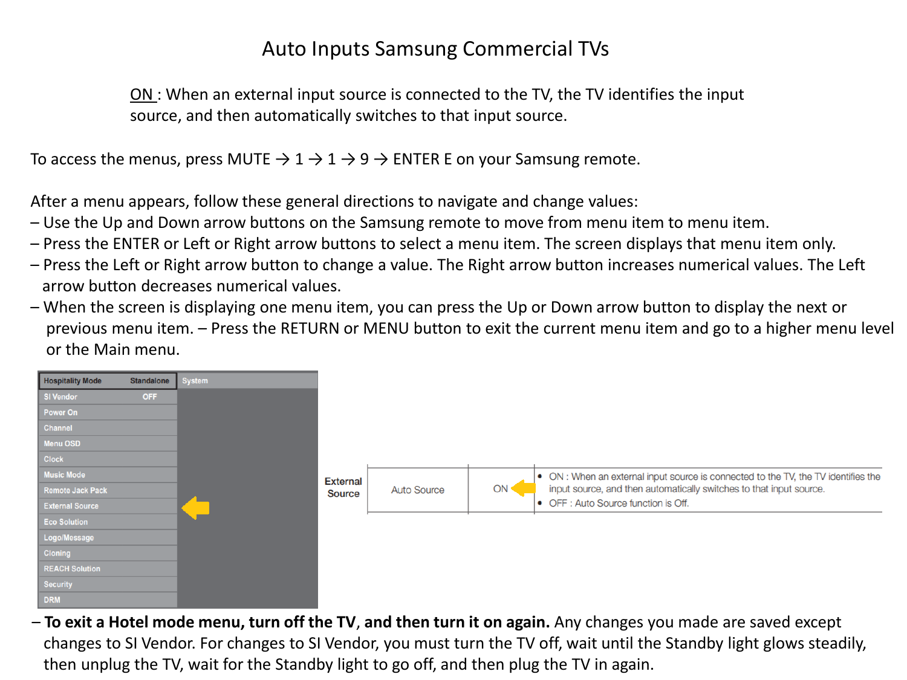## Auto Inputs Samsung Commercial TVs

ON: When an external input source is connected to the TV, the TV identifies the input source, and then automatically switches to that input source.

To access the menus, press MUTE  $\rightarrow 1 \rightarrow 1 \rightarrow 9 \rightarrow$  ENTER E on your Samsung remote.

After a menu appears, follow these general directions to navigate and change values:

- Use the Up and Down arrow buttons on the Samsung remote to move from menu item to menu item.
- Press the ENTER or Left or Right arrow buttons to select a menu item. The screen displays that menu item only.
- Press the Left or Right arrow button to change a value. The Right arrow button increases numerical values. The Left arrow button decreases numerical values.
- When the screen is displaying one menu item, you can press the Up or Down arrow button to display the next or previous menu item. – Press the RETURN or MENU button to exit the current menu item and go to a higher menu level or the Main menu.



– **To exit a Hotel mode menu, turn off the TV**, **and then turn it on again.** Any changes you made are saved except changes to SI Vendor. For changes to SI Vendor, you must turn the TV off, wait until the Standby light glows steadily, then unplug the TV, wait for the Standby light to go off, and then plug the TV in again.